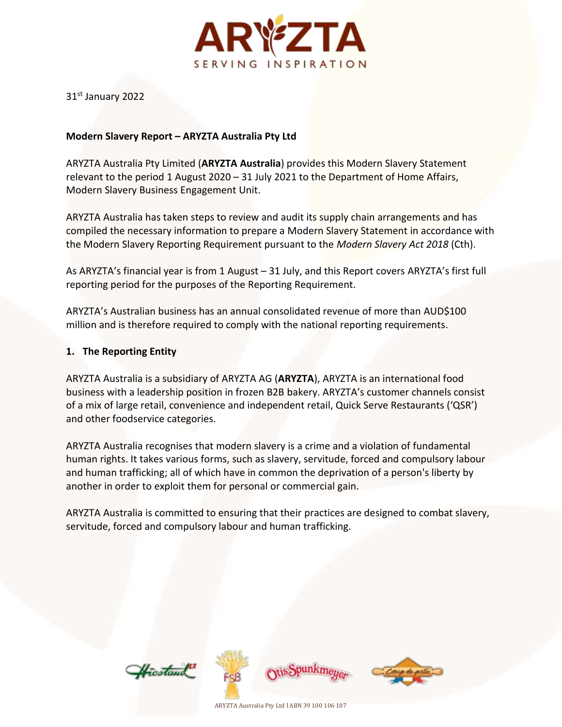

31st January 2022

## **Modern Slavery Report – ARYZTA Australia Pty Ltd**

ARYZTA Australia Pty Limited (**ARYZTA Australia**) provides this Modern Slavery Statement relevant to the period 1 August 2020 – 31 July 2021 to the Department of Home Affairs, Modern Slavery Business Engagement Unit.

ARYZTA Australia has taken steps to review and audit its supply chain arrangements and has compiled the necessary information to prepare a Modern Slavery Statement in accordance with the Modern Slavery Reporting Requirement pursuant to the *Modern Slavery Act 2018* (Cth).

As ARYZTA's financial year is from 1 August – 31 July, and this Report covers ARYZTA's first full reporting period for the purposes of the Reporting Requirement.

ARYZTA's Australian business has an annual consolidated revenue of more than AUD\$100 million and is therefore required to comply with the national reporting requirements.

### **1. The Reporting Entity**

ARYZTA Australia is a subsidiary of ARYZTA AG (**ARYZTA**), ARYZTA is an international food business with a leadership position in frozen B2B bakery. ARYZTA's customer channels consist of a mix of large retail, convenience and independent retail, Quick Serve Restaurants ('QSR') and other foodservice categories.

ARYZTA Australia recognises that modern slavery is a crime and a violation of fundamental human rights. It takes various forms, such as slavery, servitude, forced and compulsory labour and human trafficking; all of which have in common the deprivation of a person's liberty by another in order to exploit them for personal or commercial gain.

ARYZTA Australia is committed to ensuring that their practices are designed to combat slavery, servitude, forced and compulsory labour and human trafficking.







ARYZTA Australia Pty Ltd l ABN 39 100 106 107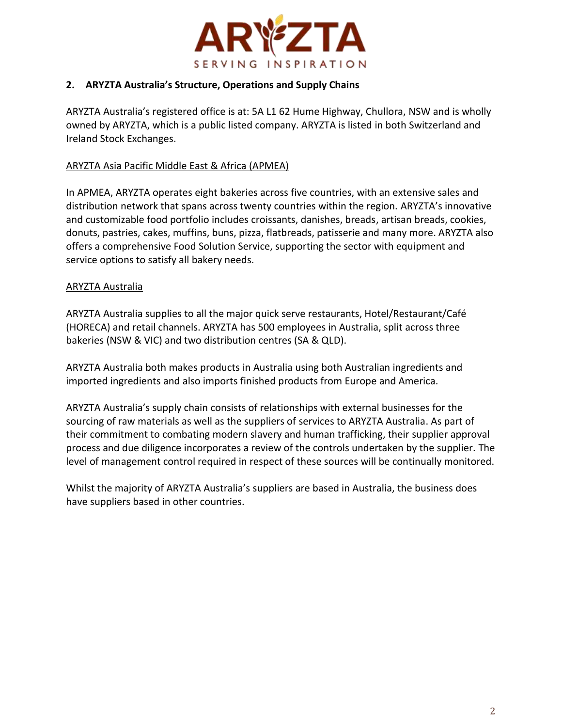

# **2. ARYZTA Australia's Structure, Operations and Supply Chains**

ARYZTA Australia's registered office is at: 5A L1 62 Hume Highway, Chullora, NSW and is wholly owned by ARYZTA, which is a public listed company. ARYZTA is listed in both Switzerland and Ireland Stock Exchanges.

## ARYZTA Asia Pacific Middle East & Africa (APMEA)

In APMEA, ARYZTA operates eight bakeries across five countries, with an extensive sales and distribution network that spans across twenty countries within the region. ARYZTA's innovative and customizable food portfolio includes croissants, danishes, breads, artisan breads, cookies, donuts, pastries, cakes, muffins, buns, pizza, flatbreads, patisserie and many more. ARYZTA also offers a comprehensive Food Solution Service, supporting the sector with equipment and service options to satisfy all bakery needs.

## ARYZTA Australia

ARYZTA Australia supplies to all the major quick serve restaurants, Hotel/Restaurant/Café (HORECA) and retail channels. ARYZTA has 500 employees in Australia, split across three bakeries (NSW & VIC) and two distribution centres (SA & QLD).

ARYZTA Australia both makes products in Australia using both Australian ingredients and imported ingredients and also imports finished products from Europe and America.

ARYZTA Australia's supply chain consists of relationships with external businesses for the sourcing of raw materials as well as the suppliers of services to ARYZTA Australia. As part of their commitment to combating modern slavery and human trafficking, their supplier approval process and due diligence incorporates a review of the controls undertaken by the supplier. The level of management control required in respect of these sources will be continually monitored.

Whilst the majority of ARYZTA Australia's suppliers are based in Australia, the business does have suppliers based in other countries.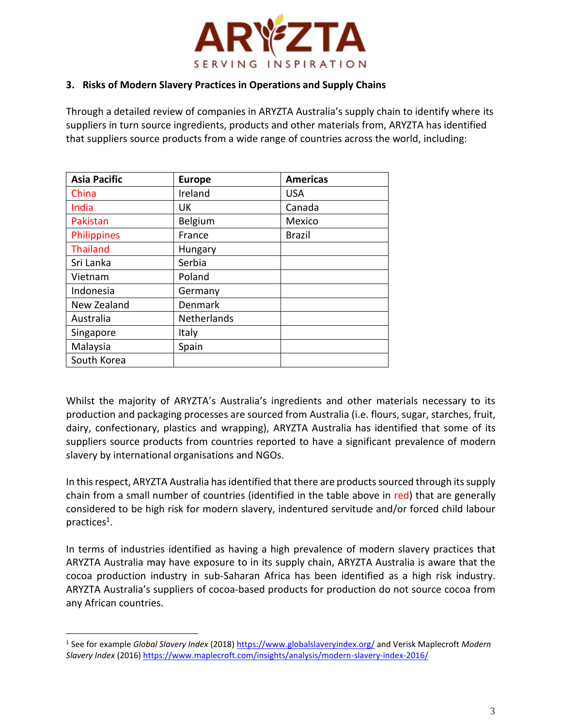

## **3. Risks of Modern Slavery Practices in Operations and Supply Chains**

Through a detailed review of companies in ARYZTA Australia's supply chain to identify where its suppliers in turn source ingredients, products and other materials from, ARYZTA has identified that suppliers source products from a wide range of countries across the world, including:

| <b>Asia Pacific</b> | <b>Europe</b> | <b>Americas</b> |
|---------------------|---------------|-----------------|
| China               | Ireland       | <b>USA</b>      |
| India               | UK.           | Canada          |
| Pakistan            | Belgium       | Mexico          |
| Philippines         | France        | <b>Brazil</b>   |
| <b>Thailand</b>     | Hungary       |                 |
| Sri Lanka           | Serbia        |                 |
| Vietnam             | Poland        |                 |
| Indonesia           | Germany       |                 |
| New Zealand         | Denmark       |                 |
| Australia           | Netherlands   |                 |
| Singapore           | Italy         |                 |
| Malaysia            | Spain         |                 |
| South Korea         |               |                 |

Whilst the majority of ARYZTA's Australia's ingredients and other materials necessary to its production and packaging processes are sourced from Australia (i.e. flours, sugar, starches, fruit, dairy, confectionary, plastics and wrapping), ARYZTA Australia has identified that some of its suppliers source products from countries reported to have a significant prevalence of modern slavery by international organisations and NGOs.

In this respect, ARYZTA Australia has identified that there are products sourced through its supply chain from a small number of countries (identified in the table above in red) that are generally considered to be high risk for modern slavery, indentured servitude and/or forced child labour practices<sup>1</sup>.

In terms of industries identified as having a high prevalence of modern slavery practices that ARYZTA Australia may have exposure to in its supply chain, ARYZTA Australia is aware that the cocoa production industry in sub-Saharan Africa has been identified as a high risk industry. ARYZTA Australia's suppliers of cocoa-based products for production do not source cocoa from any African countries.

 $\overline{\phantom{a}}$ 

<sup>&</sup>lt;sup>1</sup> See for example *Global Slavery Index* (2018)<https://www.globalslaveryindex.org/> and Verisk Maplecroft *Modern Slavery Index* (2016)<https://www.maplecroft.com/insights/analysis/modern-slavery-index-2016/>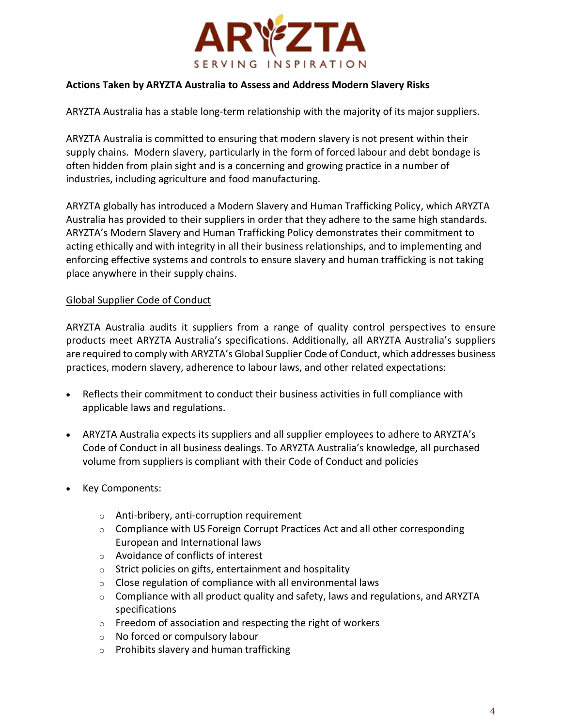

## **Actions Taken by ARYZTA Australia to Assess and Address Modern Slavery Risks**

ARYZTA Australia has a stable long-term relationship with the majority of its major suppliers.

ARYZTA Australia is committed to ensuring that modern slavery is not present within their supply chains. Modern slavery, particularly in the form of forced labour and debt bondage is often hidden from plain sight and is a concerning and growing practice in a number of industries, including agriculture and food manufacturing.

ARYZTA globally has introduced a Modern Slavery and Human Trafficking Policy, which ARYZTA Australia has provided to their suppliers in order that they adhere to the same high standards. ARYZTA's Modern Slavery and Human Trafficking Policy demonstrates their commitment to acting ethically and with integrity in all their business relationships, and to implementing and enforcing effective systems and controls to ensure slavery and human trafficking is not taking place anywhere in their supply chains.

### Global Supplier Code of Conduct

ARYZTA Australia audits it suppliers from a range of quality control perspectives to ensure products meet ARYZTA Australia's specifications. Additionally, all ARYZTA Australia's suppliers are required to comply with ARYZTA's Global Supplier Code of Conduct, which addresses business practices, modern slavery, adherence to labour laws, and other related expectations:

- Reflects their commitment to conduct their business activities in full compliance with applicable laws and regulations.
- ARYZTA Australia expects its suppliers and all supplier employees to adhere to ARYZTA's Code of Conduct in all business dealings. To ARYZTA Australia's knowledge, all purchased volume from suppliers is compliant with their Code of Conduct and policies
- Key Components:
	- o Anti-bribery, anti-corruption requirement
	- $\circ$  Compliance with US Foreign Corrupt Practices Act and all other corresponding European and International laws
	- o Avoidance of conflicts of interest
	- $\circ$  Strict policies on gifts, entertainment and hospitality
	- $\circ$  Close regulation of compliance with all environmental laws
	- $\circ$  Compliance with all product quality and safety, laws and regulations, and ARYZTA specifications
	- o Freedom of association and respecting the right of workers
	- o No forced or compulsory labour
	- o Prohibits slavery and human trafficking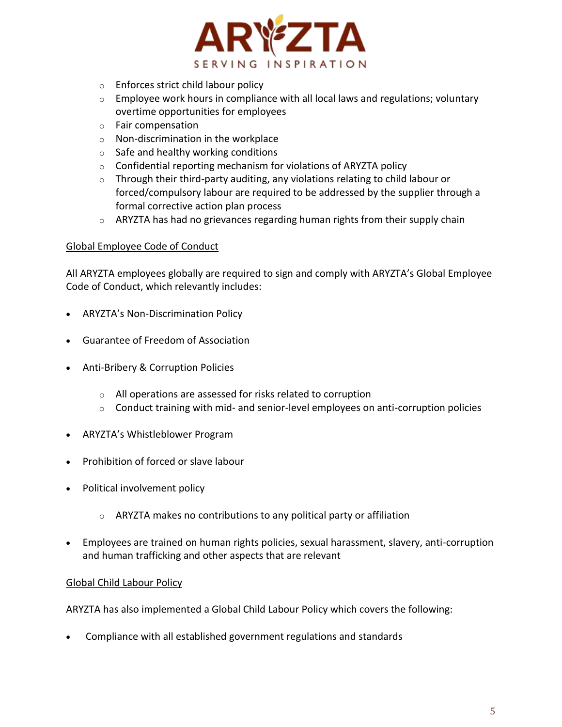

- o Enforces strict child labour policy
- $\circ$  Employee work hours in compliance with all local laws and regulations; voluntary overtime opportunities for employees
- o Fair compensation
- o Non-discrimination in the workplace
- $\circ$  Safe and healthy working conditions
- $\circ$  Confidential reporting mechanism for violations of ARYZTA policy
- $\circ$  Through their third-party auditing, any violations relating to child labour or forced/compulsory labour are required to be addressed by the supplier through a formal corrective action plan process
- $\circ$  ARYZTA has had no grievances regarding human rights from their supply chain

### Global Employee Code of Conduct

All ARYZTA employees globally are required to sign and comply with ARYZTA's Global Employee Code of Conduct, which relevantly includes:

- ARYZTA's Non-Discrimination Policy
- Guarantee of Freedom of Association
- Anti-Bribery & Corruption Policies
	- o All operations are assessed for risks related to corruption
	- $\circ$  Conduct training with mid- and senior-level employees on anti-corruption policies
- ARYZTA's Whistleblower Program
- Prohibition of forced or slave labour
- Political involvement policy
	- $\circ$  ARYZTA makes no contributions to any political party or affiliation
- Employees are trained on human rights policies, sexual harassment, slavery, anti-corruption and human trafficking and other aspects that are relevant

### Global Child Labour Policy

ARYZTA has also implemented a Global Child Labour Policy which covers the following:

Compliance with all established government regulations and standards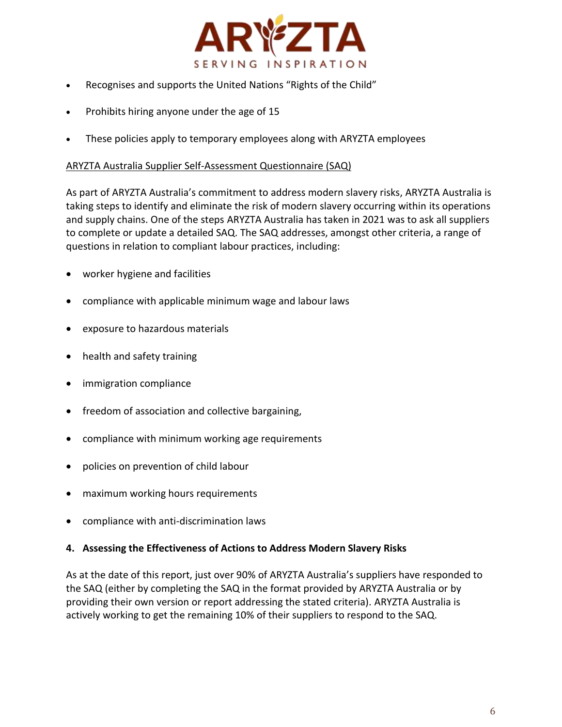

- Recognises and supports the United Nations "Rights of the Child"
- Prohibits hiring anyone under the age of 15
- These policies apply to temporary employees along with ARYZTA employees

#### ARYZTA Australia Supplier Self-Assessment Questionnaire (SAQ)

As part of ARYZTA Australia's commitment to address modern slavery risks, ARYZTA Australia is taking steps to identify and eliminate the risk of modern slavery occurring within its operations and supply chains. One of the steps ARYZTA Australia has taken in 2021 was to ask all suppliers to complete or update a detailed SAQ. The SAQ addresses, amongst other criteria, a range of questions in relation to compliant labour practices, including:

- worker hygiene and facilities
- compliance with applicable minimum wage and labour laws
- exposure to hazardous materials
- health and safety training
- immigration compliance
- freedom of association and collective bargaining,
- compliance with minimum working age requirements
- policies on prevention of child labour
- maximum working hours requirements
- compliance with anti-discrimination laws

### **4. Assessing the Effectiveness of Actions to Address Modern Slavery Risks**

As at the date of this report, just over 90% of ARYZTA Australia's suppliers have responded to the SAQ (either by completing the SAQ in the format provided by ARYZTA Australia or by providing their own version or report addressing the stated criteria). ARYZTA Australia is actively working to get the remaining 10% of their suppliers to respond to the SAQ.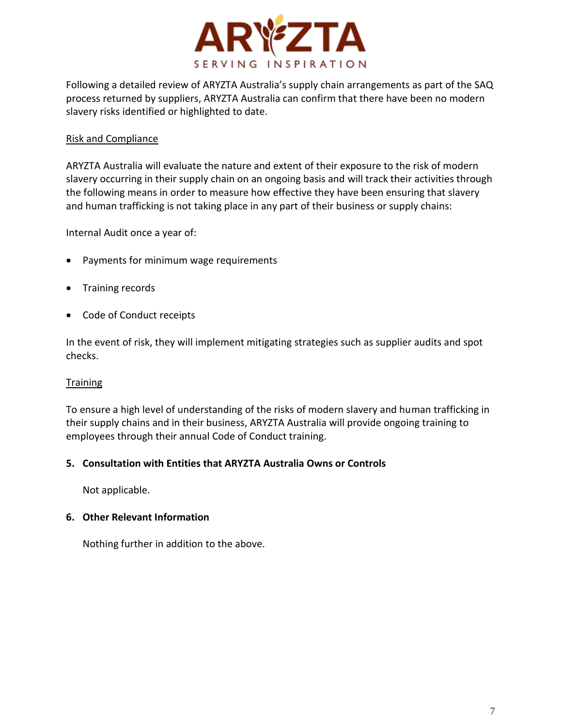

Following a detailed review of ARYZTA Australia's supply chain arrangements as part of the SAQ process returned by suppliers, ARYZTA Australia can confirm that there have been no modern slavery risks identified or highlighted to date.

## Risk and Compliance

ARYZTA Australia will evaluate the nature and extent of their exposure to the risk of modern slavery occurring in their supply chain on an ongoing basis and will track their activities through the following means in order to measure how effective they have been ensuring that slavery and human trafficking is not taking place in any part of their business or supply chains:

Internal Audit once a year of:

- Payments for minimum wage requirements
- Training records
- Code of Conduct receipts

In the event of risk, they will implement mitigating strategies such as supplier audits and spot checks.

### **Training**

To ensure a high level of understanding of the risks of modern slavery and human trafficking in their supply chains and in their business, ARYZTA Australia will provide ongoing training to employees through their annual Code of Conduct training.

### **5. Consultation with Entities that ARYZTA Australia Owns or Controls**

Not applicable.

### **6. Other Relevant Information**

Nothing further in addition to the above.